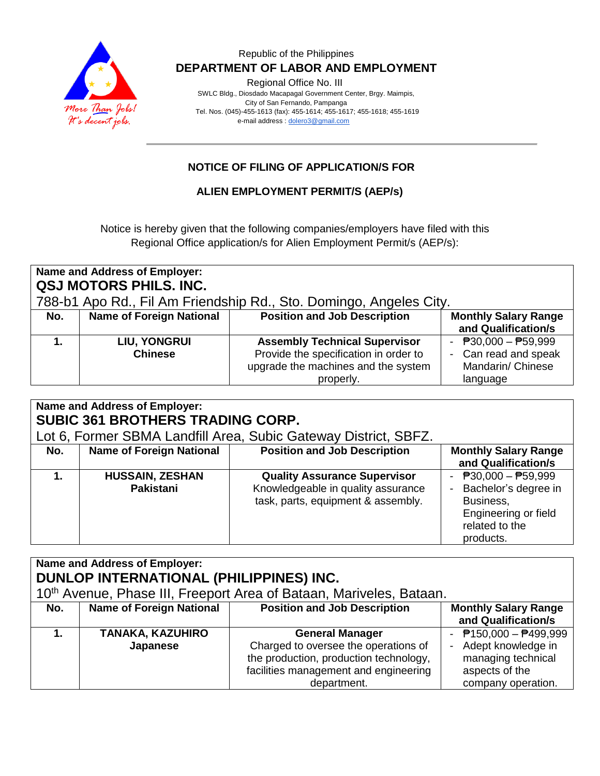

## Republic of the Philippines  **DEPARTMENT OF LABOR AND EMPLOYMENT**

Regional Office No. III

 SWLC Bldg., Diosdado Macapagal Government Center, Brgy. Maimpis, City of San Fernando, Pampanga Tel. Nos. (045)-455-1613 (fax): 455-1614; 455-1617; 455-1618; 455-1619 e-mail address [: dolero3@gmail.com](mailto:dolero3@gmail.com)

## **NOTICE OF FILING OF APPLICATION/S FOR**

## **ALIEN EMPLOYMENT PERMIT/S (AEP/s)**

Notice is hereby given that the following companies/employers have filed with this Regional Office application/s for Alien Employment Permit/s (AEP/s):

| Name and Address of Employer:<br>QSJ MOTORS PHILS. INC.<br>788-b1 Apo Rd., Fil Am Friendship Rd., Sto. Domingo, Angeles City. |                                       |                                                                                                                                   |                                                                                                      |
|-------------------------------------------------------------------------------------------------------------------------------|---------------------------------------|-----------------------------------------------------------------------------------------------------------------------------------|------------------------------------------------------------------------------------------------------|
| No.                                                                                                                           | <b>Name of Foreign National</b>       | <b>Position and Job Description</b>                                                                                               | <b>Monthly Salary Range</b><br>and Qualification/s                                                   |
|                                                                                                                               | <b>LIU, YONGRUI</b><br><b>Chinese</b> | <b>Assembly Technical Supervisor</b><br>Provide the specification in order to<br>upgrade the machines and the system<br>properly. | - $\overline{P}30,000 - \overline{P}59,999$<br>- Can read and speak<br>Mandarin/ Chinese<br>language |

| Name and Address of Employer:<br><b>SUBIC 361 BROTHERS TRADING CORP.</b><br>Lot 6, Former SBMA Landfill Area, Subic Gateway District, SBFZ. |                                            |                                                                                                                 |                                                                                                                   |
|---------------------------------------------------------------------------------------------------------------------------------------------|--------------------------------------------|-----------------------------------------------------------------------------------------------------------------|-------------------------------------------------------------------------------------------------------------------|
| No.                                                                                                                                         | <b>Name of Foreign National</b>            | <b>Position and Job Description</b>                                                                             | <b>Monthly Salary Range</b><br>and Qualification/s                                                                |
|                                                                                                                                             | <b>HUSSAIN, ZESHAN</b><br><b>Pakistani</b> | <b>Quality Assurance Supervisor</b><br>Knowledgeable in quality assurance<br>task, parts, equipment & assembly. | - $P30,000 - P59,999$<br>Bachelor's degree in<br>Business,<br>Engineering or field<br>related to the<br>products. |

| Name and Address of Employer:<br>DUNLOP INTERNATIONAL (PHILIPPINES) INC.<br>10 <sup>th</sup> Avenue, Phase III, Freeport Area of Bataan, Mariveles, Bataan. |                                     |                                                                                                                                                                  |                                                                                                                 |
|-------------------------------------------------------------------------------------------------------------------------------------------------------------|-------------------------------------|------------------------------------------------------------------------------------------------------------------------------------------------------------------|-----------------------------------------------------------------------------------------------------------------|
| No.                                                                                                                                                         | <b>Name of Foreign National</b>     | <b>Position and Job Description</b>                                                                                                                              | <b>Monthly Salary Range</b><br>and Qualification/s                                                              |
|                                                                                                                                                             | <b>TANAKA, KAZUHIRO</b><br>Japanese | <b>General Manager</b><br>Charged to oversee the operations of<br>the production, production technology,<br>facilities management and engineering<br>department. | - $P$ 150,000 - $P$ 499,999<br>Adept knowledge in<br>managing technical<br>aspects of the<br>company operation. |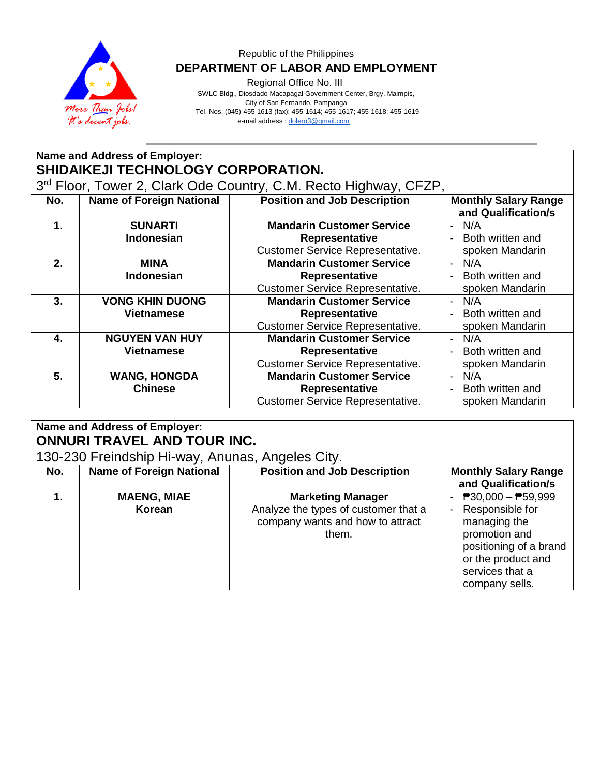

## Republic of the Philippines  **DEPARTMENT OF LABOR AND EMPLOYMENT**

Regional Office No. III

 SWLC Bldg., Diosdado Macapagal Government Center, Brgy. Maimpis, City of San Fernando, Pampanga Tel. Nos. (045)-455-1613 (fax): 455-1614; 455-1617; 455-1618; 455-1619 e-mail address [: dolero3@gmail.com](mailto:dolero3@gmail.com)

|                                                                  | Name and Address of Employer:   |                                         |                                                    |  |
|------------------------------------------------------------------|---------------------------------|-----------------------------------------|----------------------------------------------------|--|
| <b>SHIDAIKEJI TECHNOLOGY CORPORATION.</b>                        |                                 |                                         |                                                    |  |
| 3rd Floor, Tower 2, Clark Ode Country, C.M. Recto Highway, CFZP, |                                 |                                         |                                                    |  |
| No.                                                              | <b>Name of Foreign National</b> | <b>Position and Job Description</b>     | <b>Monthly Salary Range</b><br>and Qualification/s |  |
| 1.                                                               | <b>SUNARTI</b>                  | <b>Mandarin Customer Service</b>        | N/A<br>$\overline{\phantom{0}}$                    |  |
|                                                                  | Indonesian                      | <b>Representative</b>                   | Both written and                                   |  |
|                                                                  |                                 | <b>Customer Service Representative.</b> | spoken Mandarin                                    |  |
| 2.                                                               | <b>MINA</b>                     | <b>Mandarin Customer Service</b>        | N/A<br>$\overline{\phantom{0}}$                    |  |
|                                                                  | Indonesian                      | <b>Representative</b>                   | Both written and<br>$\blacksquare$                 |  |
|                                                                  |                                 | <b>Customer Service Representative.</b> | spoken Mandarin                                    |  |
| 3.                                                               | <b>VONG KHIN DUONG</b>          | <b>Mandarin Customer Service</b>        | N/A<br>$\blacksquare$                              |  |
|                                                                  | <b>Vietnamese</b>               | Representative                          | Both written and                                   |  |
|                                                                  |                                 | <b>Customer Service Representative.</b> | spoken Mandarin                                    |  |
| 4.                                                               | <b>NGUYEN VAN HUY</b>           | <b>Mandarin Customer Service</b>        | N/A<br>$\overline{\phantom{0}}$                    |  |
|                                                                  | <b>Vietnamese</b>               | Representative                          | Both written and                                   |  |
|                                                                  |                                 | <b>Customer Service Representative.</b> | spoken Mandarin                                    |  |
| 5.                                                               | <b>WANG, HONGDA</b>             | <b>Mandarin Customer Service</b>        | N/A<br>$\overline{\phantom{0}}$                    |  |
|                                                                  | <b>Chinese</b>                  | Representative                          | Both written and                                   |  |
|                                                                  |                                 | <b>Customer Service Representative.</b> | spoken Mandarin                                    |  |
|                                                                  |                                 |                                         |                                                    |  |

#### **Name and Address of Employer: ONNURI TRAVEL AND TOUR INC.** 130-230 Freindship Hi-way, Anunas, Angeles City.<br>No. | Name of Foreign National | Position and Jok **No. Name of Foreign National <b>Position and Job Description Monthly Salary Range and Qualification/s 1. MAENG, MIAE Korean Marketing Manager** Analyze the types of customer that a company wants and how to attract them.  $- P30,000 - P59,999$ - Responsible for managing the promotion and positioning of a brand or the product and services that a company sells.